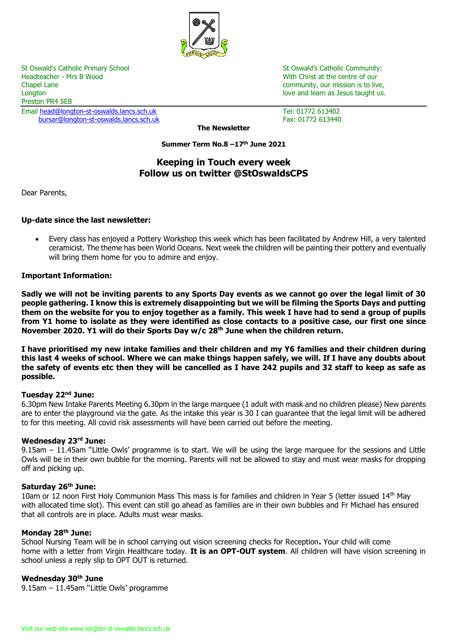

St Oswald's Catholic Primary School St Oswald's Catholic Community: Headteacher - Mrs B Wood North Christ at the centre of our Nutleadteacher - Mrs B Wood Nutleadteacher - Mrs B Wood Chapel Lane community, our mission is to live, Longton love and learn as Jesus taught us. The love and love and learn as Jesus taught us. Preston PR4 5EB Email [head@longton-st-oswalds.lancs.sch.uk](mailto:head@longton-st-oswalds.lancs.sch.uk) Tel: 01772 613402

[bursar@longton-st-oswalds.lancs.sch.uk](mailto:bursar@longton-st-oswalds.lancs.sch.uk) Fax: 01772 613440

**The Newsletter**

**Summer Term No.8 –17 th June 2021**

# **Keeping in Touch every week Follow us on twitter @StOswaldsCPS**

Dear Parents,

## **Up-date since the last newsletter:**

 Every class has enjoyed a Pottery Workshop this week which has been facilitated by Andrew Hill, a very talented ceramicist. The theme has been World Oceans. Next week the children will be painting their pottery and eventually will bring them home for you to admire and enjoy.

## **Important Information:**

**Sadly we will not be inviting parents to any Sports Day events as we cannot go over the legal limit of 30 people gathering. I know this is extremely disappointing but we will be filming the Sports Days and putting them on the website for you to enjoy together as a family. This week I have had to send a group of pupils from Y1 home to isolate as they were identified as close contacts to a positive case, our first one since November 2020. Y1 will do their Sports Day w/c 28th June when the children return.**

**I have prioritised my new intake families and their children and my Y6 families and their children during this last 4 weeks of school. Where we can make things happen safely, we will. If I have any doubts about the safety of events etc then they will be cancelled as I have 242 pupils and 32 staff to keep as safe as possible.**

## **Tuesday 22nd June:**

6.30pm New Intake Parents Meeting 6.30pm in the large marquee (1 adult with mask and no children please) New parents are to enter the playground via the gate. As the intake this year is 30 I can guarantee that the legal limit will be adhered to for this meeting. All covid risk assessments will have been carried out before the meeting.

## **Wednesday 23 rd June:**

9.15am - 11.45am "Little Owls' programme is to start. We will be using the large marquee for the sessions and Little Owls will be in their own bubble for the morning. Parents will not be allowed to stay and must wear masks for dropping off and picking up.

## **Saturday 26th June:**

10am or 12 noon First Holy Communion Mass This mass is for families and children in Year 5 (letter issued 14<sup>th</sup> May with allocated time slot). This event can still go ahead as families are in their own bubbles and Fr Michael has ensured that all controls are in place. Adults must wear masks.

#### **Monday 28th June:**

School Nursing Team will be in school carrying out vision screening checks for Reception**.** Your child will come home with a letter from Virgin Healthcare today. **It is an OPT-OUT system**. All children will have vision screening in school unless a reply slip to OPT OUT is returned.

## **Wednesday 30th June**

9.15am – 11.45am ''Little Owls' programme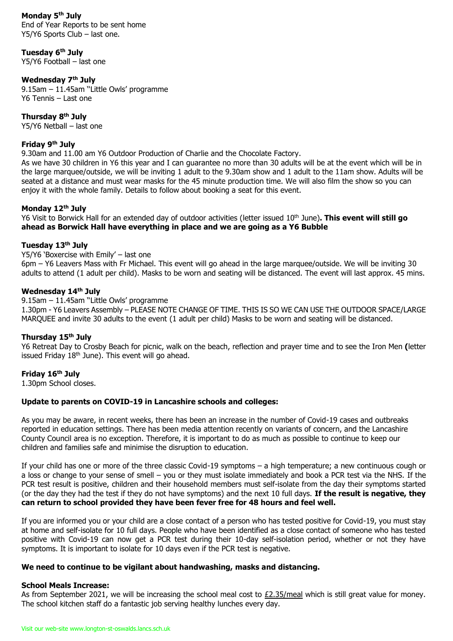**Monday 5th July** End of Year Reports to be sent home Y5/Y6 Sports Club – last one.

**Tuesday 6th July** Y5/Y6 Football – last one

## **Wednesday 7th July**

9.15am – 11.45am ''Little Owls' programme Y6 Tennis – Last one

**Thursday 8th July** Y5/Y6 Netball – last one

#### **Friday 9th July**

9.30am and 11.00 am Y6 Outdoor Production of Charlie and the Chocolate Factory.

As we have 30 children in Y6 this year and I can guarantee no more than 30 adults will be at the event which will be in the large marquee/outside, we will be inviting 1 adult to the 9.30am show and 1 adult to the 11am show. Adults will be seated at a distance and must wear masks for the 45 minute production time. We will also film the show so you can enjoy it with the whole family. Details to follow about booking a seat for this event.

## **Monday 12th July**

Y6 Visit to Borwick Hall for an extended day of outdoor activities (letter issued 10th June)**. This event will still go ahead as Borwick Hall have everything in place and we are going as a Y6 Bubble**

### **Tuesday 13th July**

Y5/Y6 'Boxercise with Emily' – last one

6pm – Y6 Leavers Mass with Fr Michael. This event will go ahead in the large marquee/outside. We will be inviting 30 adults to attend (1 adult per child). Masks to be worn and seating will be distanced. The event will last approx. 45 mins.

#### **Wednesday 14th July**

9.15am – 11.45am ''Little Owls' programme 1.30pm - Y6 Leavers Assembly – PLEASE NOTE CHANGE OF TIME. THIS IS SO WE CAN USE THE OUTDOOR SPACE/LARGE MARQUEE and invite 30 adults to the event (1 adult per child) Masks to be worn and seating will be distanced.

## **Thursday 15th July**

Y6 Retreat Day to Crosby Beach for picnic, walk on the beach, reflection and prayer time and to see the Iron Men **(**letter issued Friday 18<sup>th</sup> June). This event will go ahead.

#### **Friday 16th July**

1.30pm School closes.

## **Update to parents on COVID-19 in Lancashire schools and colleges:**

As you may be aware, in recent weeks, there has been an increase in the number of Covid-19 cases and outbreaks reported in education settings. There has been media attention recently on variants of concern, and the Lancashire County Council area is no exception. Therefore, it is important to do as much as possible to continue to keep our children and families safe and minimise the disruption to education.

If your child has one or more of the three classic Covid-19 symptoms – a high temperature; a new continuous cough or a loss or change to your sense of smell – you or they must isolate immediately and book a PCR test via the NHS. If the PCR test result is positive, children and their household members must self-isolate from the day their symptoms started (or the day they had the test if they do not have symptoms) and the next 10 full days. **If the result is negative, they can return to school provided they have been fever free for 48 hours and feel well.** 

If you are informed you or your child are a close contact of a person who has tested positive for Covid-19, you must stay at home and self-isolate for 10 full days. People who have been identified as a close contact of someone who has tested positive with Covid-19 can now get a PCR test during their 10-day self-isolation period, whether or not they have symptoms. It is important to isolate for 10 days even if the PCR test is negative.

## **We need to continue to be vigilant about handwashing, masks and distancing.**

#### **School Meals Increase:**

As from September 2021, we will be increasing the school meal cost to  $E2.35/m$ eal which is still great value for money. The school kitchen staff do a fantastic job serving healthy lunches every day.